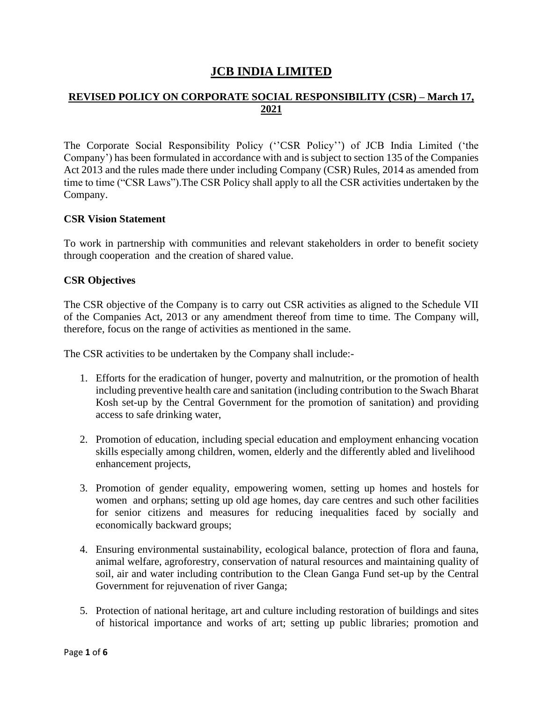# **JCB INDIA LIMITED**

# **REVISED POLICY ON CORPORATE SOCIAL RESPONSIBILITY (CSR) – March 17, 2021**

The Corporate Social Responsibility Policy (''CSR Policy'') of JCB India Limited ('the Company') has been formulated in accordance with and is subject to section 135 of the Companies Act 2013 and the rules made there under including Company (CSR) Rules, 2014 as amended from time to time ("CSR Laws").The CSR Policy shall apply to all the CSR activities undertaken by the Company.

## **CSR Vision Statement**

To work in partnership with communities and relevant stakeholders in order to benefit society through cooperation and the creation of shared value.

#### **CSR Objectives**

The CSR objective of the Company is to carry out CSR activities as aligned to the Schedule VII of the Companies Act, 2013 or any amendment thereof from time to time. The Company will, therefore, focus on the range of activities as mentioned in the same.

The CSR activities to be undertaken by the Company shall include:-

- 1. Efforts for the eradication of hunger, poverty and malnutrition, or the promotion of health including preventive health care and sanitation (including contribution to the Swach Bharat Kosh set-up by the Central Government for the promotion of sanitation) and providing access to safe drinking water,
- 2. Promotion of education, including special education and employment enhancing vocation skills especially among children, women, elderly and the differently abled and livelihood enhancement projects,
- 3. Promotion of gender equality, empowering women, setting up homes and hostels for women and orphans; setting up old age homes, day care centres and such other facilities for senior citizens and measures for reducing inequalities faced by socially and economically backward groups;
- 4. Ensuring environmental sustainability, ecological balance, protection of flora and fauna, animal welfare, agroforestry, conservation of natural resources and maintaining quality of soil, air and water including contribution to the Clean Ganga Fund set-up by the Central Government for rejuvenation of river Ganga;
- 5. Protection of national heritage, art and culture including restoration of buildings and sites of historical importance and works of art; setting up public libraries; promotion and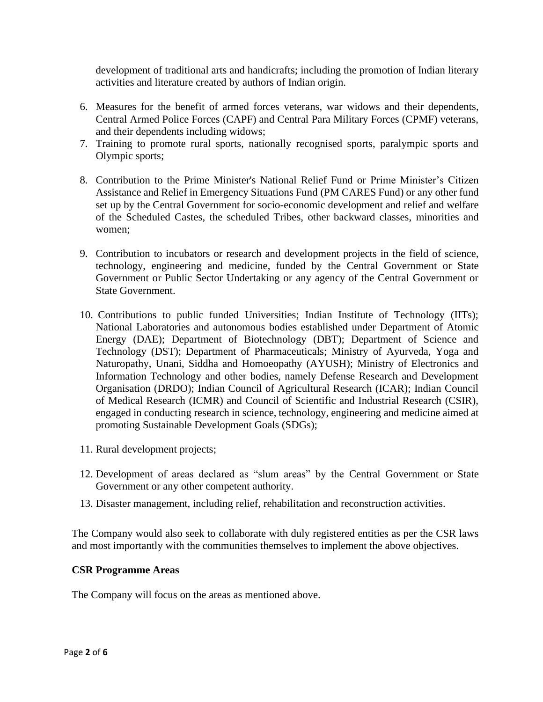development of traditional arts and handicrafts; including the promotion of Indian literary activities and literature created by authors of Indian origin.

- 6. Measures for the benefit of armed forces veterans, war widows and their dependents, Central Armed Police Forces (CAPF) and Central Para Military Forces (CPMF) veterans, and their dependents including widows;
- 7. Training to promote rural sports, nationally recognised sports, paralympic sports and Olympic sports;
- 8. Contribution to the Prime Minister's National Relief Fund or Prime Minister's Citizen Assistance and Relief in Emergency Situations Fund (PM CARES Fund) or any other fund set up by the Central Government for socio-economic development and relief and welfare of the Scheduled Castes, the scheduled Tribes, other backward classes, minorities and women;
- 9. Contribution to incubators or research and development projects in the field of science, technology, engineering and medicine, funded by the Central Government or State Government or Public Sector Undertaking or any agency of the Central Government or State Government.
- 10. Contributions to public funded Universities; Indian Institute of Technology (IITs); National Laboratories and autonomous bodies established under Department of Atomic Energy (DAE); Department of Biotechnology (DBT); Department of Science and Technology (DST); Department of Pharmaceuticals; Ministry of Ayurveda, Yoga and Naturopathy, Unani, Siddha and Homoeopathy (AYUSH); Ministry of Electronics and Information Technology and other bodies, namely Defense Research and Development Organisation (DRDO); Indian Council of Agricultural Research (ICAR); Indian Council of Medical Research (ICMR) and Council of Scientific and Industrial Research (CSIR), engaged in conducting research in science, technology, engineering and medicine aimed at promoting Sustainable Development Goals (SDGs);
- 11. Rural development projects;
- 12. Development of areas declared as "slum areas" by the Central Government or State Government or any other competent authority.
- 13. Disaster management, including relief, rehabilitation and reconstruction activities.

The Company would also seek to collaborate with duly registered entities as per the CSR laws and most importantly with the communities themselves to implement the above objectives.

## **CSR Programme Areas**

The Company will focus on the areas as mentioned above.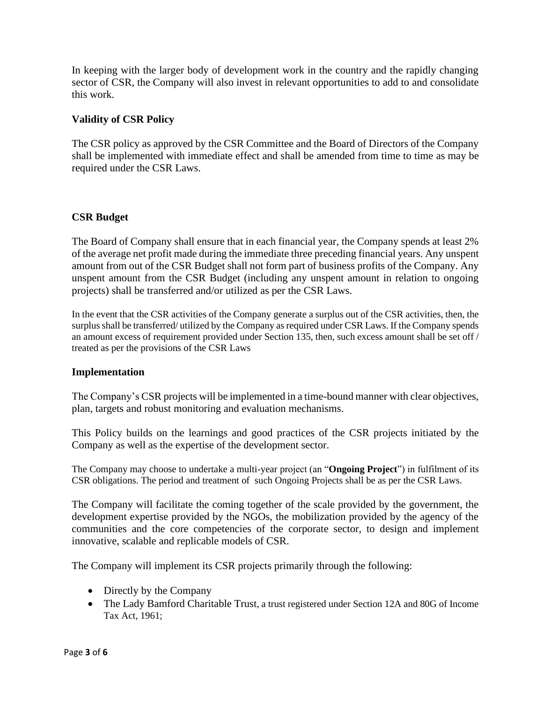In keeping with the larger body of development work in the country and the rapidly changing sector of CSR, the Company will also invest in relevant opportunities to add to and consolidate this work.

## **Validity of CSR Policy**

The CSR policy as approved by the CSR Committee and the Board of Directors of the Company shall be implemented with immediate effect and shall be amended from time to time as may be required under the CSR Laws.

## **CSR Budget**

The Board of Company shall ensure that in each financial year, the Company spends at least 2% of the average net profit made during the immediate three preceding financial years. Any unspent amount from out of the CSR Budget shall not form part of business profits of the Company. Any unspent amount from the CSR Budget (including any unspent amount in relation to ongoing projects) shall be transferred and/or utilized as per the CSR Laws.

In the event that the CSR activities of the Company generate a surplus out of the CSR activities, then, the surplus shall be transferred/ utilized by the Company as required under CSR Laws. If the Company spends an amount excess of requirement provided under Section 135, then, such excess amount shall be set off / treated as per the provisions of the CSR Laws

## **Implementation**

The Company's CSR projects will be implemented in a time-bound manner with clear objectives, plan, targets and robust monitoring and evaluation mechanisms.

This Policy builds on the learnings and good practices of the CSR projects initiated by the Company as well as the expertise of the development sector.

The Company may choose to undertake a multi-year project (an "**Ongoing Project**") in fulfilment of its CSR obligations. The period and treatment of such Ongoing Projects shall be as per the CSR Laws.

The Company will facilitate the coming together of the scale provided by the government, the development expertise provided by the NGOs, the mobilization provided by the agency of the communities and the core competencies of the corporate sector, to design and implement innovative, scalable and replicable models of CSR.

The Company will implement its CSR projects primarily through the following:

- Directly by the Company
- The Lady Bamford Charitable Trust, a trust registered under Section 12A and 80G of Income Tax Act, 1961;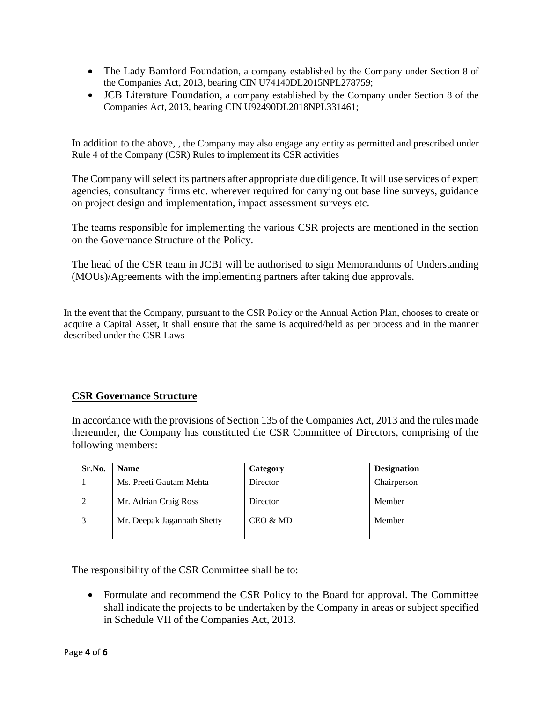- The Lady Bamford Foundation, a company established by the Company under Section 8 of the Companies Act, 2013, bearing CIN U74140DL2015NPL278759;
- JCB Literature Foundation, a company established by the Company under Section 8 of the Companies Act, 2013, bearing CIN U92490DL2018NPL331461;

In addition to the above, , the Company may also engage any entity as permitted and prescribed under Rule 4 of the Company (CSR) Rules to implement its CSR activities

The Company will select its partners after appropriate due diligence. It will use services of expert agencies, consultancy firms etc. wherever required for carrying out base line surveys, guidance on project design and implementation, impact assessment surveys etc.

The teams responsible for implementing the various CSR projects are mentioned in the section on the Governance Structure of the Policy.

The head of the CSR team in JCBI will be authorised to sign Memorandums of Understanding (MOUs)/Agreements with the implementing partners after taking due approvals.

In the event that the Company, pursuant to the CSR Policy or the Annual Action Plan, chooses to create or acquire a Capital Asset, it shall ensure that the same is acquired/held as per process and in the manner described under the CSR Laws

## **CSR Governance Structure**

In accordance with the provisions of Section 135 of the Companies Act, 2013 and the rules made thereunder, the Company has constituted the CSR Committee of Directors, comprising of the following members:

| Sr.No. | <b>Name</b>                 | Category | <b>Designation</b> |
|--------|-----------------------------|----------|--------------------|
|        | Ms. Preeti Gautam Mehta     | Director | Chairperson        |
|        | Mr. Adrian Craig Ross       | Director | Member             |
|        | Mr. Deepak Jagannath Shetty | CEO & MD | Member             |

The responsibility of the CSR Committee shall be to:

• Formulate and recommend the CSR Policy to the Board for approval. The Committee shall indicate the projects to be undertaken by the Company in areas or subject specified in Schedule VII of the Companies Act, 2013.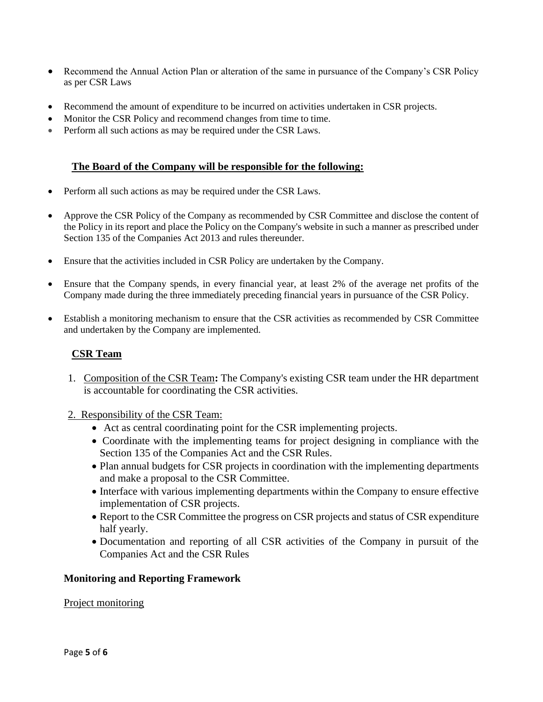- Recommend the Annual Action Plan or alteration of the same in pursuance of the Company's CSR Policy as per CSR Laws
- Recommend the amount of expenditure to be incurred on activities undertaken in CSR projects.
- Monitor the CSR Policy and recommend changes from time to time.
- Perform all such actions as may be required under the CSR Laws.

## **The Board of the Company will be responsible for the following:**

- Perform all such actions as may be required under the CSR Laws.
- Approve the CSR Policy of the Company as recommended by CSR Committee and disclose the content of the Policy in its report and place the Policy on the Company's website in such a manner as prescribed under Section 135 of the Companies Act 2013 and rules thereunder.
- Ensure that the activities included in CSR Policy are undertaken by the Company.
- Ensure that the Company spends, in every financial year, at least 2% of the average net profits of the Company made during the three immediately preceding financial years in pursuance of the CSR Policy.
- Establish a monitoring mechanism to ensure that the CSR activities as recommended by CSR Committee and undertaken by the Company are implemented.

## **CSR Team**

- 1. Composition of the CSR Team**:** The Company's existing CSR team under the HR department is accountable for coordinating the CSR activities.
- 2. Responsibility of the CSR Team:
	- Act as central coordinating point for the CSR implementing projects.
	- Coordinate with the implementing teams for project designing in compliance with the Section 135 of the Companies Act and the CSR Rules.
	- Plan annual budgets for CSR projects in coordination with the implementing departments and make a proposal to the CSR Committee.
	- Interface with various implementing departments within the Company to ensure effective implementation of CSR projects.
	- Report to the CSR Committee the progress on CSR projects and status of CSR expenditure half yearly.
	- Documentation and reporting of all CSR activities of the Company in pursuit of the Companies Act and the CSR Rules

#### **Monitoring and Reporting Framework**

#### Project monitoring